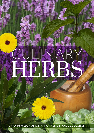# CULINARY HERBS

BY JOHN MASON AND STAFF OF ACS DISTANCE EDUCATION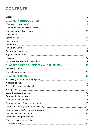# **CONTENTS**

|                                                                               | 8  |
|-------------------------------------------------------------------------------|----|
| CHAPTER 1 INTRODUCTION CHAPTER 1 2                                            |    |
|                                                                               |    |
|                                                                               |    |
|                                                                               |    |
|                                                                               |    |
|                                                                               |    |
|                                                                               |    |
|                                                                               |    |
|                                                                               |    |
|                                                                               |    |
|                                                                               |    |
|                                                                               |    |
|                                                                               |    |
| CHAPTER 2 HERB CHEMISTRY AND NUTRITION CHAPTER 2 HERB CHEMISTRY AND NUTRITION | 13 |
|                                                                               |    |
|                                                                               | 14 |
|                                                                               | 16 |
|                                                                               |    |
|                                                                               |    |
|                                                                               |    |
|                                                                               |    |
|                                                                               |    |
|                                                                               |    |
|                                                                               |    |
|                                                                               |    |
|                                                                               |    |
|                                                                               |    |
|                                                                               |    |
|                                                                               |    |
|                                                                               |    |
| Marinating meat 23                                                            |    |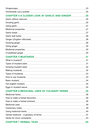|                                                                                                                    | 23 |
|--------------------------------------------------------------------------------------------------------------------|----|
|                                                                                                                    | 24 |
| CHAPTER 4 A CLOSER LOOK AT GARLIC AND GINGER MARKER AND STREET AND A CLOSER AND MELTIC AND STREET AND STREET A     | 25 |
| Garlic (Allium sativum) <b>Election Carlier (Allium Sativum) Election Carlier Carlier Carlier (Allium Sativum)</b> | 25 |
|                                                                                                                    |    |
| Using garlic 27                                                                                                    |    |
|                                                                                                                    |    |
|                                                                                                                    | 27 |
| Garlic leaf butter 28                                                                                              |    |
|                                                                                                                    |    |
|                                                                                                                    |    |
|                                                                                                                    | 30 |
|                                                                                                                    |    |
|                                                                                                                    |    |
| CHAPTER 5 MUSTARDS 31                                                                                              |    |
|                                                                                                                    |    |
|                                                                                                                    | 31 |
|                                                                                                                    |    |
|                                                                                                                    | 32 |
|                                                                                                                    | 33 |
| How to use mustards.                                                                                               | 33 |
|                                                                                                                    |    |
|                                                                                                                    |    |
| Eggs in mustard sauce <b>Eggs in mustard</b> sauce <b>Eggs</b> in mustard sauce 24                                 |    |
| CHAPTER 6 MEDICINAL USES OF CULINARY HERBS 25 35                                                                   |    |
|                                                                                                                    |    |
|                                                                                                                    |    |
|                                                                                                                    |    |
|                                                                                                                    |    |
|                                                                                                                    |    |
|                                                                                                                    |    |
|                                                                                                                    |    |
|                                                                                                                    |    |
|                                                                                                                    |    |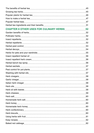| The benefits of herbal tea <b>with the community of the contract of the contract of the contract of the contract of t</b> |    |
|---------------------------------------------------------------------------------------------------------------------------|----|
|                                                                                                                           |    |
| Popular plants for herbal tea <b>Commission Commission and tea</b> 46                                                     |    |
|                                                                                                                           |    |
|                                                                                                                           |    |
|                                                                                                                           |    |
| CHAPTER 8 OTHER USES FOR CULINARY HERBS 52                                                                                |    |
|                                                                                                                           |    |
|                                                                                                                           |    |
|                                                                                                                           |    |
|                                                                                                                           |    |
| Herbal pest control 53                                                                                                    |    |
|                                                                                                                           |    |
|                                                                                                                           |    |
|                                                                                                                           |    |
|                                                                                                                           |    |
|                                                                                                                           |    |
|                                                                                                                           |    |
|                                                                                                                           |    |
|                                                                                                                           |    |
|                                                                                                                           | 58 |
|                                                                                                                           |    |
|                                                                                                                           |    |
|                                                                                                                           |    |
|                                                                                                                           |    |
|                                                                                                                           |    |
|                                                                                                                           |    |
|                                                                                                                           |    |
|                                                                                                                           |    |
|                                                                                                                           |    |
|                                                                                                                           |    |
|                                                                                                                           |    |
| Using herbs with fruit <b>with the Commission of the Contract of the Constantine Constant of the Constantine Const</b>    |    |
|                                                                                                                           |    |
|                                                                                                                           | 62 |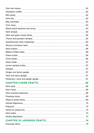|                                                                                                                                                                                                                                      | 62 |
|--------------------------------------------------------------------------------------------------------------------------------------------------------------------------------------------------------------------------------------|----|
|                                                                                                                                                                                                                                      | 62 |
|                                                                                                                                                                                                                                      | 62 |
|                                                                                                                                                                                                                                      | 62 |
|                                                                                                                                                                                                                                      | 63 |
| Corn soup                                                                                                                                                                                                                            | 63 |
|                                                                                                                                                                                                                                      |    |
| Herb breads with the contract of the contract of the contract of the contract of the contract of the contract of the contract of the contract of the contract of the contract of the contract of the contract of the contract        | 64 |
|                                                                                                                                                                                                                                      | 64 |
|                                                                                                                                                                                                                                      | 64 |
|                                                                                                                                                                                                                                      |    |
|                                                                                                                                                                                                                                      | 65 |
|                                                                                                                                                                                                                                      | 66 |
|                                                                                                                                                                                                                                      | 66 |
|                                                                                                                                                                                                                                      | 66 |
| Chive butter <b>with the control of the control of the control of the control of the control of the control of the control of the control of the control of the control of the control of the control of the control of the cont</b> | 66 |
|                                                                                                                                                                                                                                      | 67 |
|                                                                                                                                                                                                                                      | 67 |
| Gargles                                                                                                                                                                                                                              | 67 |
|                                                                                                                                                                                                                                      | 67 |
|                                                                                                                                                                                                                                      | 67 |
|                                                                                                                                                                                                                                      |    |
| CHAPTER 9 HERB CRAFTS SANDWELL AND THE RESERVE SERVER SERVER SERVED AND THE RESERVE SERVER SERVED AND THE RESERVED OF STATE STATE STATE STATE STATE STATE STATE STATE STATE STATE STATE STATE STATE STATE STATE STATE STATE ST       | 68 |
|                                                                                                                                                                                                                                      |    |
|                                                                                                                                                                                                                                      |    |
|                                                                                                                                                                                                                                      |    |
|                                                                                                                                                                                                                                      |    |
|                                                                                                                                                                                                                                      |    |
|                                                                                                                                                                                                                                      |    |
|                                                                                                                                                                                                                                      |    |
| Herbs for potpourris with the contract of the contract of the contract of the contract of the contract of the contract of the contract of the contract of the contract of the contract of the contract of the contract of the        |    |
|                                                                                                                                                                                                                                      |    |
|                                                                                                                                                                                                                                      |    |
| CHAPTER 10 LAVENDER CRAFTS MARKET MARKET AND THE RESERVE TO A LAW AND THE RESERVE TO A LAW AND THE RESERVE TO                                                                                                                        | 74 |
|                                                                                                                                                                                                                                      | 75 |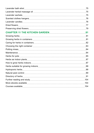|                                                                                                                 | 75 |
|-----------------------------------------------------------------------------------------------------------------|----|
|                                                                                                                 |    |
|                                                                                                                 |    |
|                                                                                                                 |    |
|                                                                                                                 |    |
|                                                                                                                 |    |
|                                                                                                                 |    |
| CHAPTER 11 THE KITCHEN GARDEN ENTITLED THE RESIDENT RANGE TO A RESIDENT RESIDENT RANGE THE RESIDENT RANGE THE   |    |
|                                                                                                                 |    |
|                                                                                                                 |    |
|                                                                                                                 |    |
| Choosing the right container <b>Election Container 2008</b> 3                                                   |    |
|                                                                                                                 |    |
|                                                                                                                 |    |
|                                                                                                                 |    |
|                                                                                                                 |    |
|                                                                                                                 |    |
|                                                                                                                 |    |
|                                                                                                                 |    |
| Natural pest control 29 and 2008 and 2008 and 2010 and 2010 and 2010 and 2010 and 2010 and 2010 and 2010 and 20 |    |
|                                                                                                                 |    |
|                                                                                                                 |    |
|                                                                                                                 |    |
|                                                                                                                 |    |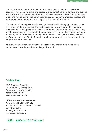The information in this book is derived from a broad cross-section of resources (research, reference materials and personal experience) from the authors and editorial assistants in the academic department of ACS Distance Education. It is, to the best of our knowledge, composed as an accurate representation of what is accepted and appropriate information about the subject, at the time of publication.

The authors fully recognise that knowledge is continually changing, and awareness in all areas of study is constantly evolving. As such, we encourage the reader to recognise that nothing they read should ever be considered to be set in stone. They should always strive to broaden their perspective and deepen their understanding of a subject, and before acting upon any information or advice, should always seek to confirm the currency of that information, and the appropriateness to the situation in which they find themselves.

As such, the publisher and author do not accept any liability for actions taken by the reader based upon their reading of this book.

#### **Published by:**

ACS Distance Education P.O. Box 2092, Nerang MDC, Queensland, Australia, 4211 [admin@acs.edu.au](mailto:admin@acs.edu.au) <www.acsbookshop.com>

UK & European Representative: ACS Distance Education UK P O Box 4171, Stourbridge, DY8 2WZ, United Kingdom [admin@acsedu.co.uk](mailto:admin@acsedu.co.uk) <www.acsebooks.com>

#### ISBN: 978-0-6487526-2-2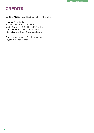# **CREDITS**

By John Mason Dip.Hort.Sc., FCIH, FAIH, MIHA

Editorial Assistants Jacinda Cole B.Sc., Cert.Hort. Marie Beerman B.Sc.(Hort), M.Sc.(Hort) Parita Shah B.Sc.(Hort), M.Sc.(Hort) Nicola Stewart B.A., Dip Aromatherapy

Photos: John Mason / Stephen Mason Layout: Stephen Mason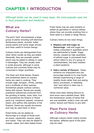# **CHAPTER 1 INTRODUCTION**

*Although herbs can be used in many ways, the most popular uses are in food preparation and medicine.*

# **What are Culinary Herbs?**

The word 'herb' encompasses a large group of plants including soft-stemmed herbaceous plants, annuals, bulbs, woody plants and some larger shrubs and trees useful to human beings.

Culinary herbs are distinguished from other herbs insofar as they are edible. Generally, they are aromatic plants which may be added to dishes or used in beverages. They are usually used in small amounts, although in some cultures and countries herbs may be consumed in larger quantities.

The fresh and dried leaves, flowers and sometimes stems of culinary herbs are used in cooking. They include sage, tarragon, chives, parsley, and a multitude of other species. Sometimes people confuse culinary herbs with spices. Spices are usually powdered substances produced from the grinding of seeds, roots, bark, fruit and sometimes the flowers or flower parts e.g. cardamom (seeds), cinnamon (bark), and saffron (the stamens of the flowers). Herbs are usually the leaves and may be used fresh or dried.

Dried herbs can be added as flavourings to a range of foods such as soups, casseroles, sauces, pasta, and roasts. They can also be added to breads, cakes, and other baked foods.

Fresh herbs may be used similarly or added as garnishes to various dishes where they can provide anything from a fresh taste to a sweet or tangy flavour.

Culinary herbs do two main things:

- **Replace salt and sugar as flavourings** - salt and sugar are widely consumed in quantities which are detrimental to health. Sugar toxicity, caused by high quantities of refined sugar in processed food (which refers to any of a group of carbohydrates), has been dubbed a silent epidemic.
- **Add a variety of flavours** these enhance our enjoyment and can encourage people to try new foods, thereby experiencing a range of healthy foods rather than just eating bland, processed, or takeaway 'fast' food which is often low in nutritional value.

Herbs have been adding flavours to food since man's earliest times. With the tremendous variety of herbs that are now available, today's cook can add colour, texture and flavour to any dish.

# **Plant Parts Used as Culinary Herbs**

Although culinary herbs mainly involve the leaves, different parts of the plant may be used.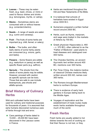- **Leaves** These may be eaten fresh, (e.g. basil, chives, or mint) or used to flavour dishes and drinks (e.g. lemongrass, myrtle, or catnip).
- **Stems** Sometimes stems are consumed with or without leaves (e.g. coriander/cilantro).
- **Seeds** A range of seeds are eaten (e.g. cumin and caraway).
- **Fruit** The fruits of some herbs are important (e.g. chilli, fennel, or celery).
- **Bulbs** The bulbs, and often leafy stems of some herby plants are consumed (e.g. onions, garlic, and leeks).
- **Flowers** Some flowers are edible (e.g. nasturtium or pansy) as well as specific flower parts (e.g. saffron).
- **Sprouts** The shoots from the seeds of some plants may be edible. However, proceed with caution as specific sprouts can be toxic. Those that are safe to use include beansprouts, pea shoots and alfalfa sprouts.

# **Brief History of Culinary Herbs**

Wild and cultivated herbs have been used for culinary and medicinal purposes for thousands of years. It is assumed that early humans discovered numerous uses of herbs through trial and error.

● Cave paintings of herbs dated to 13,000 – 25,000 BC have been discovered in the Lascaux caves in France.

- Herbs are mentioned throughout the Old and New Testaments of the Bible.
- It is believed that schools of herbalists have existed in Egypt since 3000 B.C.
- Sumerians prepared a written herbal record around 2500 BC.
- $\bullet$  Herbs, such as thyme, marjoram, and sage were traded in the markets of Athens by 700 BC.
- Greek physician Hippocrates (c. 460 – c. 370 BC), often referred to as the "Father of Medicine", used plants to treat diseases and catalogued over 400 herbs.
- The Charaka Samhita, an ancient Ayurvedic text written around 400 BC, mentions over 300 herbs.
- Pen Ts'ao Ching, the materia medica of classical Chinese medicine likely written around 200 AD, names over 365 herbs.
- The Romans brought Mediterranean herbs to northern Europe.
- There is evidence of early herb gardens in Europe dating back to the Middle Ages.
- Voyages of exploration and the establishment of trade routes made exotic herbs available throughout much of the world.

## **Fresh Herbs**

Fresh herbs are usually added to hot dishes towards the end of cooking so that their flavour is not lost, or they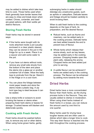may be added to dishes which take less time to cook. Those herbs used when fresh generally have tender leaves that are easy to chew and break down when cooked. Chives, coriander, and basil are great options, with their subtle yet distinct flavours.

#### **Storing Fresh Herbs**

Fresh herbs may be stored in several ways:

- $\bullet$  If the herbs were bought with its roots attached inside a pot (usually enclosed in a clear plastic sleeve), they can be stored in the pot in the fridge for up to a week. Place it on a saucer and add some water to the pot.
- If you have cut stems without roots, remove any small side shoots from the bottom of the stem and place the stems into a glass jar or another container full of water. Allow the leafy tops to protrude from the jar. Stand it in the fridge or in a cool room.
- You can place the foliage between moist paper towels and store the stems inside a plastic bag. A zip lock type bag is ideal because it can be sealed.

Use a sharp knife or scissors to avoid bruising the leaves or stems when preparing fresh herb stems or leaves for storage. Crushed leaves will blacken and deteriorate quickly.

#### **Cooking with Fresh Herbs**

Fresh herbs should be washed before use, to remove any soil or other debris. When using home grown herbs, gently

submerging herbs in water should dislodge any unwelcome guests, such as aphids or caterpillars. Delicate leaves and foliage should be treated carefully to avoid bruising them.

When to add fresh herbs to the cooking depends on the type of herb, its preparation, and the desired flavour.

- Robust herbs, such as thyme and rosemary, can be added early in the cooking process. Delicate herbs are best added towards the end to prevent loss of flavour.
- Whole herbs which release their aroma slowly, such as bay leaves, may be added early in the cooking process. Chopping breaks open the plant cells, releasing the aroma. Chopped herbs are best added just prior to serving.
- A subtle flavour can be achieved if herbs are added early in the cooking process. The flavour can be enhanced by adding more towards the end.

# **Dried Herbs**

Dried herbs have a more concentrated flavour than fresh herbs, as the drying process locks in the flavours. They are usually added to dishes in moderation. When using dried herbs instead of fresh herbs in a recipe, you can reduce the amount used by one third to one quarter.

Many herbs used for drying have tougher leaves and are often used in dishes which take a longer time to cook. This way their flavour is leached into the dish throughout the cooking process.